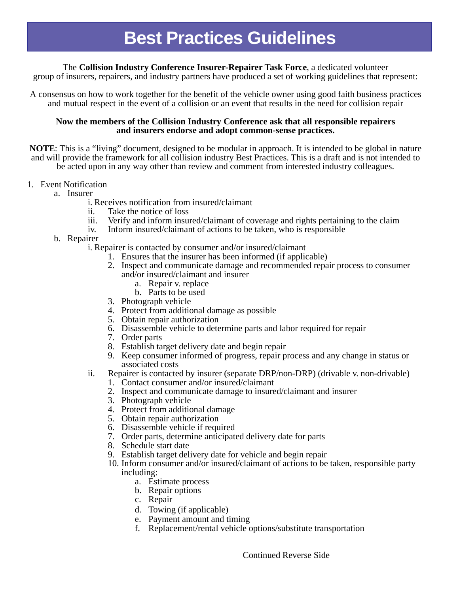The **Collision Industry Conference Insurer-Repairer Task Force**, a dedicated volunteer

group of insurers, repairers, and industry partners have produced a set of working guidelines that represent:

A consensus on how to work together for the benefit of the vehicle owner using good faith business practices and mutual respect in the event of a collision or an event that results in the need for collision repair

## **Now the members of the Collision Industry Conference ask that all responsible repairers and insurers endorse and adopt common-sense practices.**

**NOTE**: This is a "living" document, designed to be modular in approach. It is intended to be global in nature and will provide the framework for all collision industry Best Practices. This is a draft and is not intended to be acted upon in any way other than review and comment from interested industry colleagues.

## 1. Event Notification

- a. Insurer
	- i. Receives notification from insured/claimant
	- ii. Take the notice of loss
	- iii. Verify and inform insured/claimant of coverage and rights pertaining to the claim
	- iv. Inform insured/claimant of actions to be taken, who is responsible
- b. Repairer

i. Repairer is contacted by consumer and/or insured/claimant

- 1. Ensures that the insurer has been informed (if applicable)
- 2. Inspect and communicate damage and recommended repair process to consumer and/or insured/claimant and insurer
	- a. Repair v. replace
	- b. Parts to be used
- 3. Photograph vehicle
- 4. Protect from additional damage as possible
- 5. Obtain repair authorization
- 6. Disassemble vehicle to determine parts and labor required for repair
- 7. Order parts
- 8. Establish target delivery date and begin repair
- 9. Keep consumer informed of progress, repair process and any change in status or associated costs
- ii. Repairer is contacted by insurer (separate DRP/non-DRP) (drivable v. non-drivable)
	- 1. Contact consumer and/or insured/claimant
	- 2. Inspect and communicate damage to insured/claimant and insurer
	- 3. Photograph vehicle
	- 4. Protect from additional damage
	- 5. Obtain repair authorization
	- 6. Disassemble vehicle if required
	- 7. Order parts, determine anticipated delivery date for parts
	- 8. Schedule start date
	- 9. Establish target delivery date for vehicle and begin repair
	- 10. Inform consumer and/or insured/claimant of actions to be taken, responsible party including:
		- a. Estimate process
		- b. Repair options
		- c. Repair
		- d. Towing (if applicable)
		- e. Payment amount and timing
		- f. Replacement/rental vehicle options/substitute transportation

Continued Reverse Side